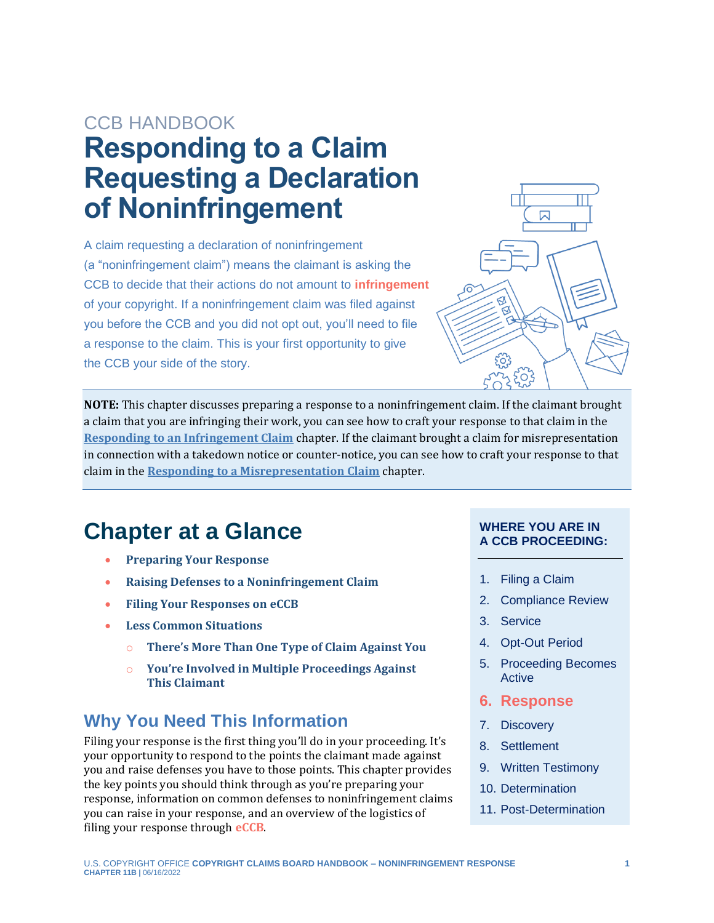## CCB HANDBOOK **Responding to a Claim Requesting a Declaration of Noninfringement**

A claim requesting a declaration of noninfringement (a "noninfringement claim") means the claimant is asking the CCB to decide that their actions do not amount to **[infringement](#page-9-0)** of your copyright. If a noninfringement claim was filed against you before the CCB and you did not opt out, you'll need to file a response to the claim. This is your first opportunity to give the CCB your side of the story.

<span id="page-0-1"></span>

**NOTE:** This chapter discusses preparing a response to a noninfringement claim. If the claimant brought a claim that you are infringing their work, you can see how to craft your response to that claim in the **[Responding to an Infringement Claim](https://ccb.gov/handbook/Response-Infringement.pdf)** chapter. If the claimant brought a claim for misrepresentation in connection with a takedown notice or counter-notice, you can see how to craft your response to that claim in the **[Responding to a Misrepresentation Claim](https://ccb.gov/handbook/Response-Misrepresentation.pdf)** chapter.

## **Chapter at a Glance**

- **[Preparing Your Response](#page-1-0)**
- **[Raising Defenses to a Noninfringement Claim](#page-4-0)**
- **[Filing Your Responses on](#page-7-0) eCCB**
- **[Less Common Situations](#page-8-0)**
	- o **There'[s More Than One Type of Claim Against You](#page-8-1)**
	- o **[You're Involved in Multiple Proceedings Against](#page-9-1)  [This Claimant](#page-9-1)**

## **Why You Need This Information**

<span id="page-0-0"></span>Filing your response is the first thing you'll do in your proceeding. It's your opportunity to respond to the points the claimant made against you and raise defenses you have to those points. This chapter provides the key points you should think through as you're preparing your response, information on common defenses to noninfringement claims you can raise in your response, and an overview of the logistics of filing your response through **[eCCB](#page-9-0)**.

#### **WHERE YOU ARE IN A CCB PROCEEDING:**

- 1. Filing a Claim
- 2. Compliance Review
- 3. Service
- 4. Opt-Out Period
- 5. Proceeding Becomes Active
- **6. Response**
- 7. Discovery
- 8. Settlement
- 9. Written Testimony
- 10. Determination
- 11. Post-Determination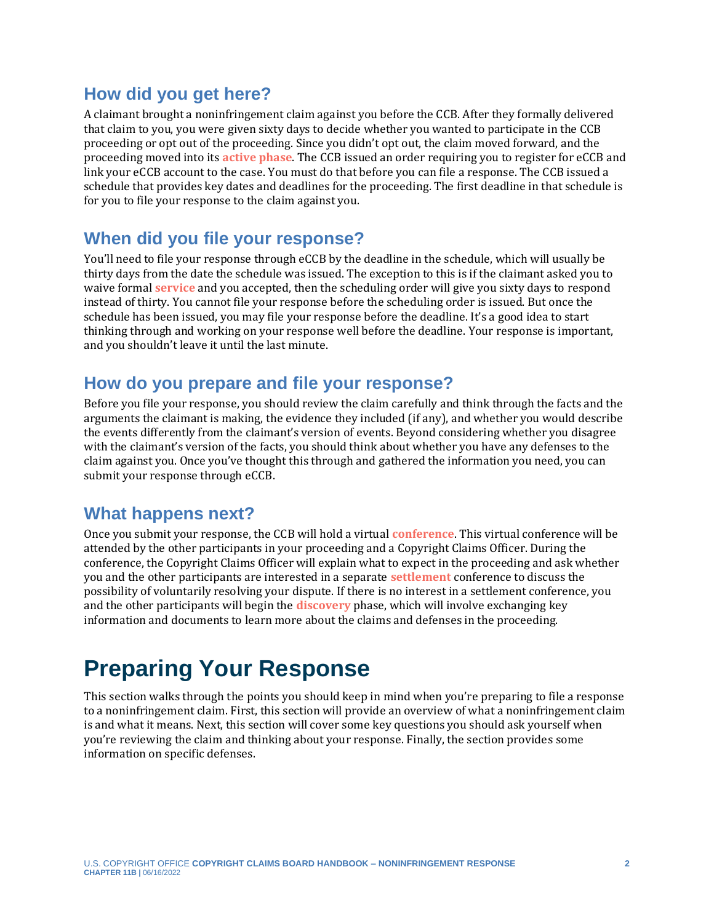### **How did you get here?**

<span id="page-1-1"></span>A claimant brought a noninfringement claim against you before the CCB. After they formally delivered that claim to you, you were given sixty days to decide whether you wanted to participate in the CCB proceeding or opt out of the proceeding. Since you didn't opt out, the claim moved forward, and the proceeding moved into its **[active phase](#page-9-0)**. The CCB issued an order requiring you to register for eCCB and link your eCCB account to the case. You must do that before you can file a response. The CCB issued a schedule that provides key dates and deadlines for the proceeding. The first deadline in that schedule is for you to file your response to the claim against you.

### **When did you file your response?**

<span id="page-1-4"></span>You'll need to file your response through eCCB by the deadline in the schedule, which will usually be thirty days from the date the schedule was issued. The exception to this is if the claimant asked you to waive formal **[service](#page-9-0)** and you accepted, then the scheduling order will give you sixty days to respond instead of thirty. You cannot file your response before the scheduling order is issued. But once the schedule has been issued, you may file your response before the deadline. It's a good idea to start thinking through and working on your response well before the deadline. Your response is important, and you shouldn't leave it until the last minute.

### **How do you prepare and file your response?**

Before you file your response, you should review the claim carefully and think through the facts and the arguments the claimant is making, the evidence they included (if any), and whether you would describe the events differently from the claimant's version of events. Beyond considering whether you disagree with the claimant's version of the facts, you should think about whether you have any defenses to the claim against you. Once you've thought this through and gathered the information you need, you can submit your response through eCCB.

### **What happens next?**

<span id="page-1-5"></span><span id="page-1-2"></span>Once you submit your response, the CCB will hold a virtual **[conference](#page-9-0)**. This virtual conference will be attended by the other participants in your proceeding and a Copyright Claims Officer. During the conference, the Copyright Claims Officer will explain what to expect in the proceeding and ask whether you and the other participants are interested in a separate **[settlement](#page-9-0)** conference to discuss the possibility of voluntarily resolving your dispute. If there is no interest in a settlement conference, you and the other participants will begin the **[discovery](#page-9-0)** phase, which will involve exchanging key information and documents to learn more about the claims and defenses in the proceeding.

## <span id="page-1-3"></span><span id="page-1-0"></span>**Preparing Your Response**

This section walks through the points you should keep in mind when you're preparing to file a response to a noninfringement claim. First, this section will provide an overview of what a noninfringement claim is and what it means. Next, this section will cover some key questions you should ask yourself when you're reviewing the claim and thinking about your response. Finally, the section provides some information on specific defenses.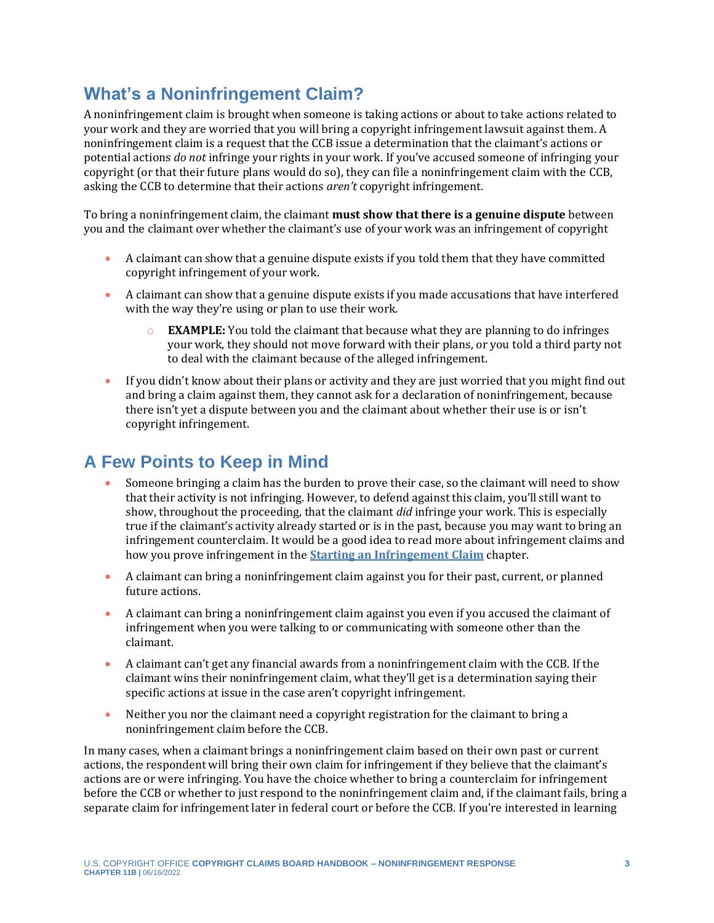## **What's a Noninfringement Claim?**

A noninfringement claim is brought when someone is taking actions or about to take actions related to your work and they are worried that you will bring a copyright infringement lawsuit against them. A noninfringement claim is a request that the CCB issue a determination that the claimant's actions or potential actions *do not* infringe your rights in your work. If you've accused someone of infringing your copyright (or that their future plans would do so), they can file a noninfringement claim with the CCB, asking the CCB to determine that their actions *aren't* copyright infringement.

To bring a noninfringement claim, the claimant **must show that there is a genuine dispute** between you and the claimant over whether the claimant's use of your work was an infringement of copyright

- A claimant can show that a genuine dispute exists if you told them that they have committed copyright infringement of your work.
- A claimant can show that a genuine dispute exists if you made accusations that have interfered with the way they're using or plan to use their work.
	- **EXAMPLE:** You told the claimant that because what they are planning to do infringes your work, they should not move forward with their plans, or you told a third party not to deal with the claimant because of the alleged infringement.
- If you didn't know about their plans or activity and they are just worried that you might find out and bring a claim against them, they cannot ask for a declaration of noninfringement, because there isn't yet a dispute between you and the claimant about whether their use is or isn't copyright infringement.

## **A Few Points to Keep in Mind**

- Someone bringing a claim has the burden to prove their case, so the claimant will need to show that their activity is not infringing. However, to defend against this claim, you'll still want to show, throughout the proceeding, that the claimant *did* infringe your work. This is especially true if the claimant's activity already started or is in the past, because you may want to bring an infringement counterclaim. It would be a good idea to read more about infringement claims and how you prove infringement in the **[Starting an Infringement Claim](https://ccb.gov/handbook/Infringement-Claim.pdf)** chapter.
- A claimant can bring a noninfringement claim against you for their past, current, or planned future actions.
- A claimant can bring a noninfringement claim against you even if you accused the claimant of infringement when you were talking to or communicating with someone other than the claimant.
- A claimant can't get any financial awards from a noninfringement claim with the CCB. If the claimant wins their noninfringement claim, what they'll get is a determination saying their specific actions at issue in the case aren't copyright infringement.
- Neither you nor the claimant need a copyright registration for the claimant to bring a noninfringement claim before the CCB.

In many cases, when a claimant brings a noninfringement claim based on their own past or current actions, the respondent will bring their own claim for infringement if they believe that the claimant's actions are or were infringing. You have the choice whether to bring a counterclaim for infringement before the CCB or whether to just respond to the noninfringement claim and, if the claimant fails, bring a separate claim for infringement later in federal court or before the CCB. If you're interested in learning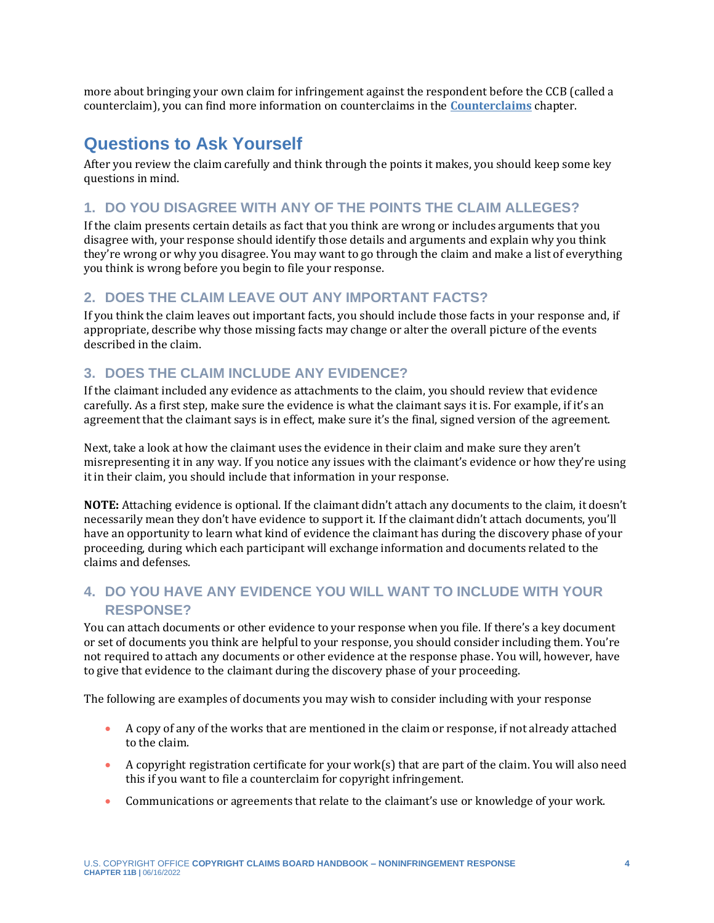more about bringing your own claim for infringement against the respondent before the CCB (called a counterclaim), you can find more information on counterclaims in the **[Counterclaims](https://ccb.gov/handbook/Counterclaims.pdf)** chapter.

## **Questions to Ask Yourself**

After you review the claim carefully and think through the points it makes, you should keep some key questions in mind.

#### **1. DO YOU DISAGREE WITH ANY OF THE POINTS THE CLAIM ALLEGES?**

If the claim presents certain details as fact that you think are wrong or includes arguments that you disagree with, your response should identify those details and arguments and explain why you think they're wrong or why you disagree. You may want to go through the claim and make a list of everything you think is wrong before you begin to file your response.

#### **2. DOES THE CLAIM LEAVE OUT ANY IMPORTANT FACTS?**

If you think the claim leaves out important facts, you should include those facts in your response and, if appropriate, describe why those missing facts may change or alter the overall picture of the events described in the claim.

#### **3. DOES THE CLAIM INCLUDE ANY EVIDENCE?**

If the claimant included any evidence as attachments to the claim, you should review that evidence carefully. As a first step, make sure the evidence is what the claimant says it is. For example, if it's an agreement that the claimant says is in effect, make sure it's the final, signed version of the agreement.

Next, take a look at how the claimant uses the evidence in their claim and make sure they aren't misrepresenting it in any way. If you notice any issues with the claimant's evidence or how they're using it in their claim, you should include that information in your response.

**NOTE:** Attaching evidence is optional. If the claimant didn't attach any documents to the claim, it doesn't necessarily mean they don't have evidence to support it. If the claimant didn't attach documents, you'll have an opportunity to learn what kind of evidence the claimant has during the discovery phase of your proceeding, during which each participant will exchange information and documents related to the claims and defenses.

#### **4. DO YOU HAVE ANY EVIDENCE YOU WILL WANT TO INCLUDE WITH YOUR RESPONSE?**

You can attach documents or other evidence to your response when you file. If there's a key document or set of documents you think are helpful to your response, you should consider including them. You're not required to attach any documents or other evidence at the response phase. You will, however, have to give that evidence to the claimant during the discovery phase of your proceeding.

The following are examples of documents you may wish to consider including with your response

- A copy of any of the works that are mentioned in the claim or response, if not already attached to the claim.
- A copyright registration certificate for your work(s) that are part of the claim. You will also need this if you want to file a counterclaim for copyright infringement.
- Communications or agreements that relate to the claimant's use or knowledge of your work.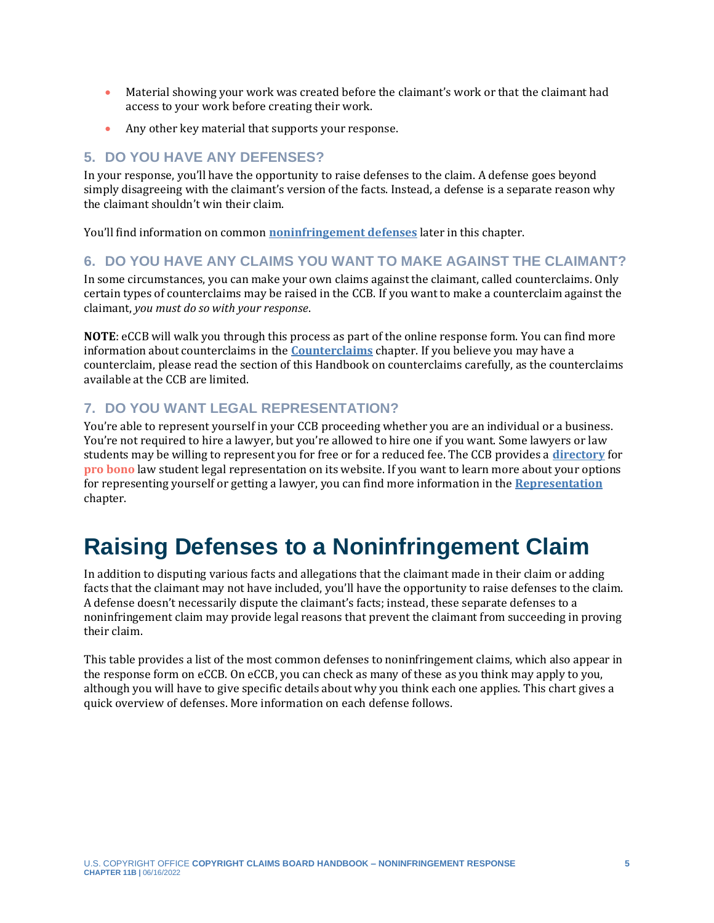- Material showing your work was created before the claimant's work or that the claimant had access to your work before creating their work.
- Any other key material that supports your response.

#### **5. DO YOU HAVE ANY DEFENSES?**

In your response, you'll have the opportunity to raise defenses to the claim. A defense goes beyond simply disagreeing with the claimant's version of the facts. Instead, a defense is a separate reason why the claimant shouldn't win their claim.

You'll find information on common **[noninfringement defenses](#page-5-0)** later in this chapter.

#### **6. DO YOU HAVE ANY CLAIMS YOU WANT TO MAKE AGAINST THE CLAIMANT?**

In some circumstances, you can make your own claims against the claimant, called counterclaims. Only certain types of counterclaims may be raised in the CCB. If you want to make a counterclaim against the claimant, *you must do so with your response*.

**NOTE**: eCCB will walk you through this process as part of the online response form. You can find more information about counterclaims in the **[Counterclaims](https://ccb.gov/handbook/Counterclaims.pdf)** chapter. If you believe you may have a counterclaim, please read the section of this Handbook on counterclaims carefully, as the counterclaims available at the CCB are limited.

#### **7. DO YOU WANT LEGAL REPRESENTATION?**

<span id="page-4-1"></span>You're able to represent yourself in your CCB proceeding whether you are an individual or a business. You're not required to hire a lawyer, but you're allowed to hire one if you want. Some lawyers or law students may be willing to represent you for free or for a reduced fee. The CCB provides a **[directory](https://ccb.gov/pro-bono-assistance/)** for **[pro bono](#page-9-0)** law student legal representation on its website. If you want to learn more about your options for representing yourself or getting a lawyer, you can find more information in the **[Representation](https://ccb.gov/handbook/Representation.pdf)** chapter.

## <span id="page-4-0"></span>**Raising Defenses to a Noninfringement Claim**

In addition to disputing various facts and allegations that the claimant made in their claim or adding facts that the claimant may not have included, you'll have the opportunity to raise defenses to the claim. A defense doesn't necessarily dispute the claimant's facts; instead, these separate defenses to a noninfringement claim may provide legal reasons that prevent the claimant from succeeding in proving their claim.

This table provides a list of the most common defenses to noninfringement claims, which also appear in the response form on eCCB. On eCCB, you can check as many of these as you think may apply to you, although you will have to give specific details about why you think each one applies. This chart gives a quick overview of defenses. More information on each defense follows.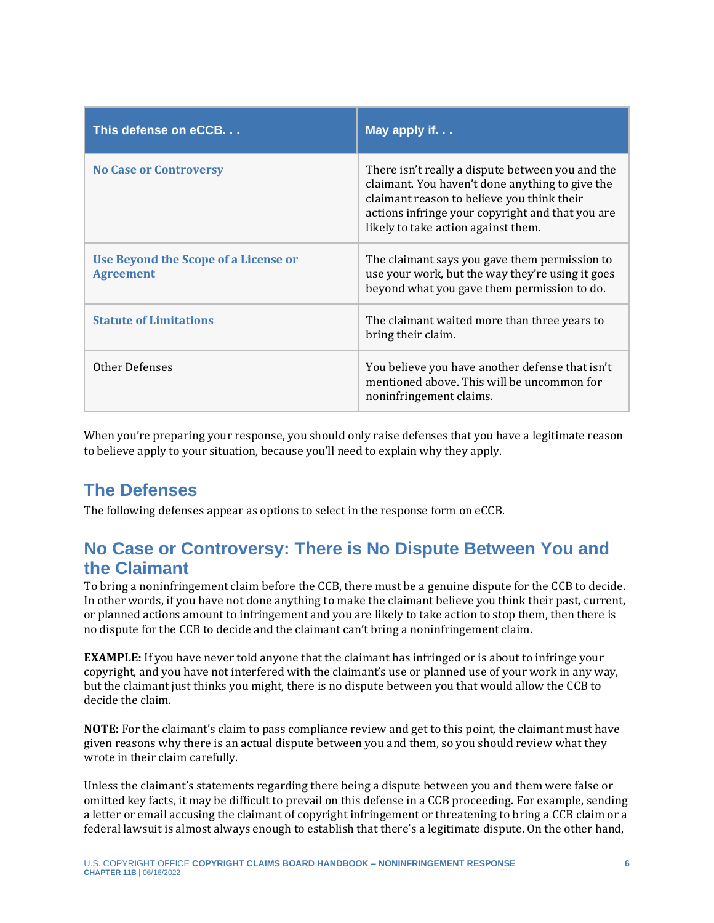| This defense on eCCB.                                           | May apply if                                                                                                                                                                                                                                 |
|-----------------------------------------------------------------|----------------------------------------------------------------------------------------------------------------------------------------------------------------------------------------------------------------------------------------------|
| <b>No Case or Controversy</b>                                   | There isn't really a dispute between you and the<br>claimant. You haven't done anything to give the<br>claimant reason to believe you think their<br>actions infringe your copyright and that you are<br>likely to take action against them. |
| <b>Use Beyond the Scope of a License or</b><br><b>Agreement</b> | The claimant says you gave them permission to<br>use your work, but the way they're using it goes<br>beyond what you gave them permission to do.                                                                                             |
| <b>Statute of Limitations</b>                                   | The claimant waited more than three years to<br>bring their claim.                                                                                                                                                                           |
| Other Defenses                                                  | You believe you have another defense that isn't<br>mentioned above. This will be uncommon for<br>noninfringement claims.                                                                                                                     |

When you're preparing your response, you should only raise defenses that you have a legitimate reason to believe apply to your situation, because you'll need to explain why they apply.

## <span id="page-5-0"></span>**The Defenses**

The following defenses appear as options to select in the response form on eCCB.

## <span id="page-5-1"></span>**No Case or Controversy: There is No Dispute Between You and the Claimant**

To bring a noninfringement claim before the CCB, there must be a genuine dispute for the CCB to decide. In other words, if you have not done anything to make the claimant believe you think their past, current, or planned actions amount to infringement and you are likely to take action to stop them, then there is no dispute for the CCB to decide and the claimant can't bring a noninfringement claim.

**EXAMPLE:** If you have never told anyone that the claimant has infringed or is about to infringe your copyright, and you have not interfered with the claimant's use or planned use of your work in any way, but the claimant just thinks you might, there is no dispute between you that would allow the CCB to decide the claim.

**NOTE:** For the claimant's claim to pass compliance review and get to this point, the claimant must have given reasons why there is an actual dispute between you and them, so you should review what they wrote in their claim carefully.

Unless the claimant's statements regarding there being a dispute between you and them were false or omitted key facts, it may be difficult to prevail on this defense in a CCB proceeding. For example, sending a letter or email accusing the claimant of copyright infringement or threatening to bring a CCB claim or a federal lawsuit is almost always enough to establish that there's a legitimate dispute. On the other hand,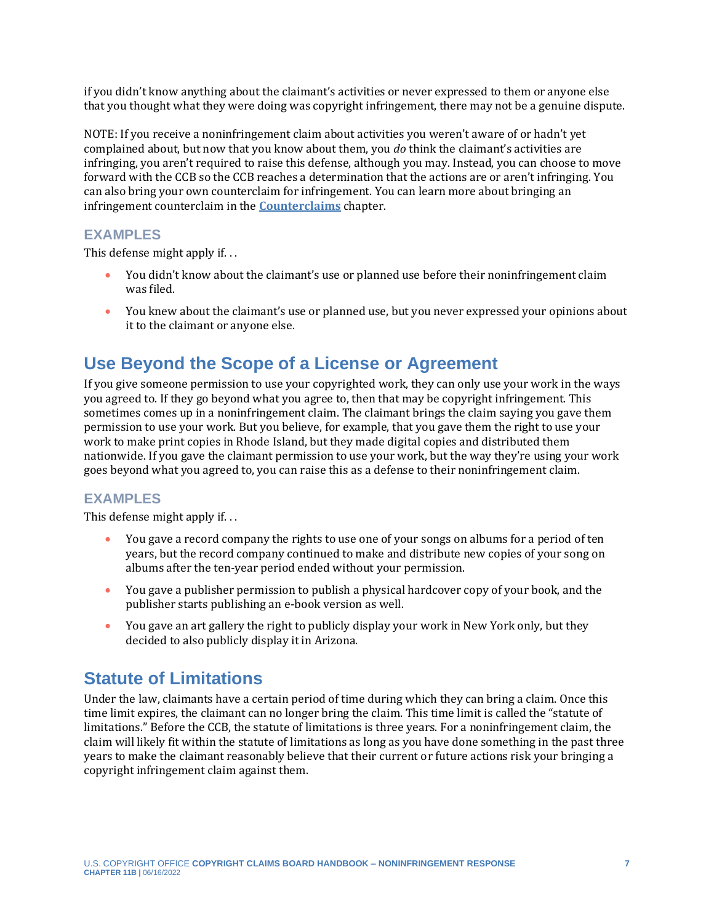if you didn't know anything about the claimant's activities or never expressed to them or anyone else that you thought what they were doing was copyright infringement, there may not be a genuine dispute.

NOTE: If you receive a noninfringement claim about activities you weren't aware of or hadn't yet complained about, but now that you know about them, you *do* think the claimant's activities are infringing, you aren't required to raise this defense, although you may. Instead, you can choose to move forward with the CCB so the CCB reaches a determination that the actions are or aren't infringing. You can also bring your own counterclaim for infringement. You can learn more about bringing an infringement counterclaim in the **[Counterclaims](https://ccb.gov/handbook/Counterclaims.pdf)** chapter.

#### **EXAMPLES**

This defense might apply if. . .

- You didn't know about the claimant's use or planned use before their noninfringement claim was filed.
- You knew about the claimant's use or planned use, but you never expressed your opinions about it to the claimant or anyone else.

### <span id="page-6-0"></span>**Use Beyond the Scope of a License or Agreement**

If you give someone permission to use your copyrighted work, they can only use your work in the ways you agreed to. If they go beyond what you agree to, then that may be copyright infringement. This sometimes comes up in a noninfringement claim. The claimant brings the claim saying you gave them permission to use your work. But you believe, for example, that you gave them the right to use your work to make print copies in Rhode Island, but they made digital copies and distributed them nationwide. If you gave the claimant permission to use your work, but the way they're using your work goes beyond what you agreed to, you can raise this as a defense to their noninfringement claim.

#### **EXAMPLES**

This defense might apply if. . .

- You gave a record company the rights to use one of your songs on albums for a period of ten years, but the record company continued to make and distribute new copies of your song on albums after the ten-year period ended without your permission.
- You gave a publisher permission to publish a physical hardcover copy of your book, and the publisher starts publishing an e-book version as well.
- You gave an art gallery the right to publicly display your work in New York only, but they decided to also publicly display it in Arizona.

## <span id="page-6-1"></span>**Statute of Limitations**

Under the law, claimants have a certain period of time during which they can bring a claim. Once this time limit expires, the claimant can no longer bring the claim. This time limit is called the "statute of limitations." Before the CCB, the statute of limitations is three years. For a noninfringement claim, the claim will likely fit within the statute of limitations as long as you have done something in the past three years to make the claimant reasonably believe that their current or future actions risk your bringing a copyright infringement claim against them.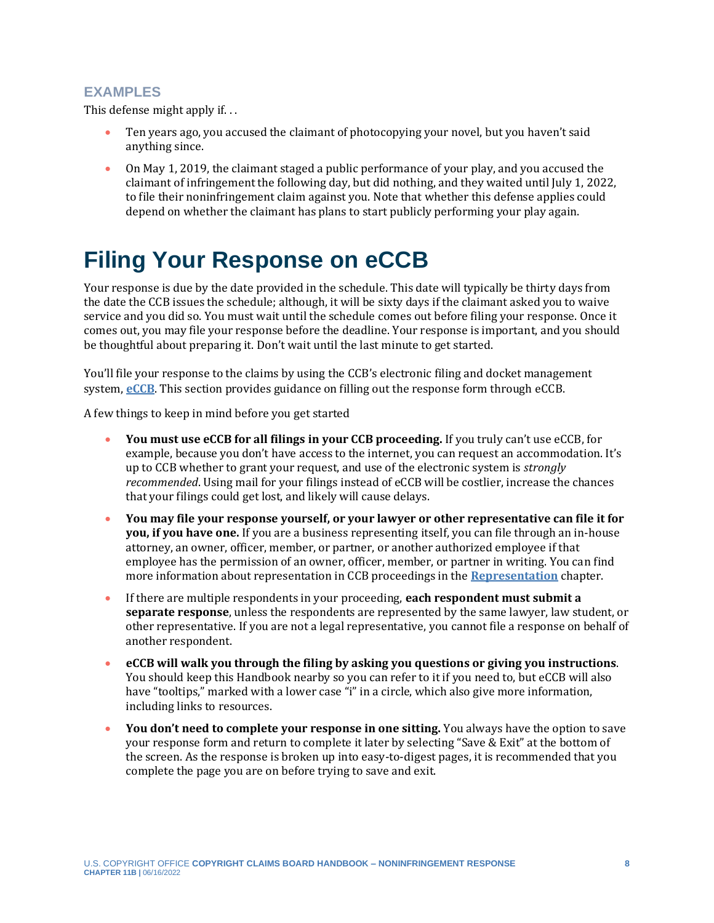#### **EXAMPLES**

This defense might apply if. . .

- Ten years ago, you accused the claimant of photocopying your novel, but you haven't said anything since.
- On May 1, 2019, the claimant staged a public performance of your play, and you accused the claimant of infringement the following day, but did nothing, and they waited until July 1, 2022, to file their noninfringement claim against you. Note that whether this defense applies could depend on whether the claimant has plans to start publicly performing your play again.

## <span id="page-7-0"></span>**Filing Your Response on eCCB**

Your response is due by the date provided in the schedule. This date will typically be thirty days from the date the CCB issues the schedule; although, it will be sixty days if the claimant asked you to waive service and you did so. You must wait until the schedule comes out before filing your response. Once it comes out, you may file your response before the deadline. Your response is important, and you should be thoughtful about preparing it. Don't wait until the last minute to get started.

You'll file your response to the claims by using the CCB's electronic filing and docket management system, **[eCCB](https://dockets.ccb.gov/)**. This section provides guidance on filling out the response form through eCCB.

A few things to keep in mind before you get started

- **You must use eCCB for all filings in your CCB proceeding.** If you truly can't use eCCB, for example, because you don't have access to the internet, you can request an accommodation. It's up to CCB whether to grant your request, and use of the electronic system is *strongly recommended*. Using mail for your filings instead of eCCB will be costlier, increase the chances that your filings could get lost, and likely will cause delays.
- **You may file your response yourself, or your lawyer or other representative can file it for you, if you have one.** If you are a business representing itself, you can file through an in-house attorney, an owner, officer, member, or partner, or another authorized employee if that employee has the permission of an owner, officer, member, or partner in writing. You can find more information about representation in CCB proceedings in the **[Representation](https://ccb.gov/handbook/Representation.pdf)** chapter.
- If there are multiple respondents in your proceeding, **each respondent must submit a separate response**, unless the respondents are represented by the same lawyer, law student, or other representative. If you are not a legal representative, you cannot file a response on behalf of another respondent.
- **eCCB will walk you through the filing by asking you questions or giving you instructions**. You should keep this Handbook nearby so you can refer to it if you need to, but eCCB will also have "tooltips," marked with a lower case "i" in a circle, which also give more information, including links to resources.
- **You don't need to complete your response in one sitting.** You always have the option to save your response form and return to complete it later by selecting "Save & Exit" at the bottom of the screen. As the response is broken up into easy-to-digest pages, it is recommended that you complete the page you are on before trying to save and exit.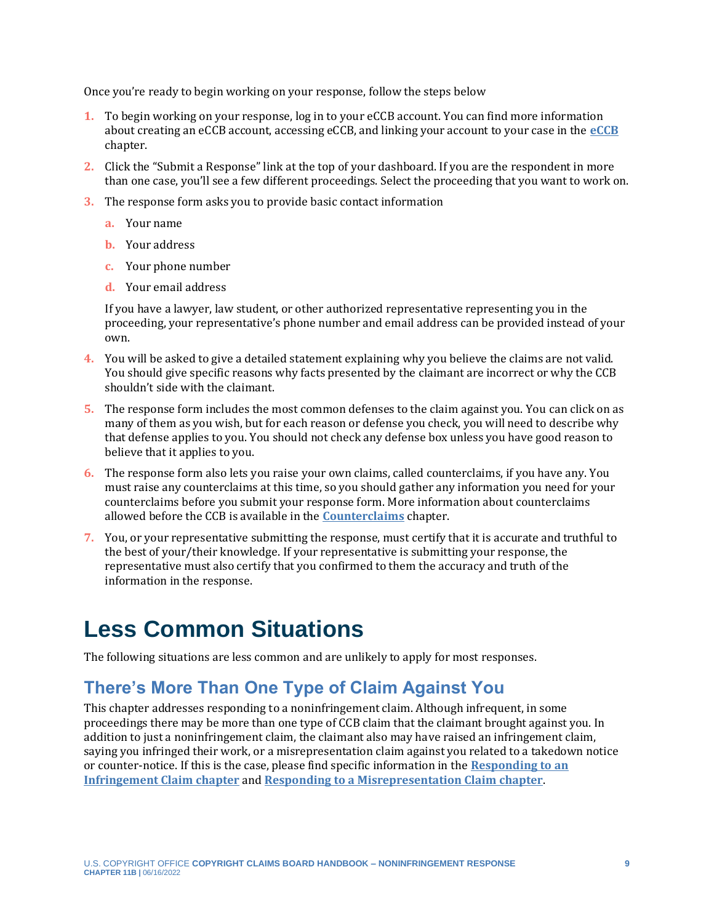Once you're ready to begin working on your response, follow the steps below

- **1.** To begin working on your response, log in to your eCCB account. You can find more information about creating an eCCB account, accessing eCCB, and linking your account to your case in the **[eCCB](https://ccb.gov/handbook/eCCB.pdf)** chapter.
- **2.** Click the "Submit a Response" link at the top of your dashboard. If you are the respondent in more than one case, you'll see a few different proceedings. Select the proceeding that you want to work on.
- **3.** The response form asks you to provide basic contact information
	- **a.** Your name
	- **b.** Your address
	- **c.** Your phone number
	- **d.** Your email address

If you have a lawyer, law student, or other authorized representative representing you in the proceeding, your representative's phone number and email address can be provided instead of your own.

- **4.** You will be asked to give a detailed statement explaining why you believe the claims are not valid. You should give specific reasons why facts presented by the claimant are incorrect or why the CCB shouldn't side with the claimant.
- **5.** The response form includes the most common defenses to the claim against you. You can click on as many of them as you wish, but for each reason or defense you check, you will need to describe why that defense applies to you. You should not check any defense box unless you have good reason to believe that it applies to you.
- **6.** The response form also lets you raise your own claims, called counterclaims, if you have any. You must raise any counterclaims at this time, so you should gather any information you need for your counterclaims before you submit your response form. More information about counterclaims allowed before the CCB is available in the **[Counterclaims](https://ccb.gov/handbook/Counterclaims.pdf)** chapter.
- **7.** You, or your representative submitting the response, must certify that it is accurate and truthful to the best of your/their knowledge. If your representative is submitting your response, the representative must also certify that you confirmed to them the accuracy and truth of the information in the response.

## <span id="page-8-0"></span>**Less Common Situations**

The following situations are less common and are unlikely to apply for most responses.

## <span id="page-8-1"></span>**There's More Than One Type of Claim Against You**

This chapter addresses responding to a noninfringement claim. Although infrequent, in some proceedings there may be more than one type of CCB claim that the claimant brought against you. In addition to just a noninfringement claim, the claimant also may have raised an infringement claim, saying you infringed their work, or a misrepresentation claim against you related to a takedown notice or counter-notice. If this is the case, please find specific information in the **[Responding to an](https://ccb.gov/handbook/Response-Infringement.pdf)  [Infringement Claim chapter](https://ccb.gov/handbook/Response-Infringement.pdf)** and **[Responding to a Misrepresentation Claim chapter](https://ccb.gov/handbook/Response-Misrepresentation.pdf)**.